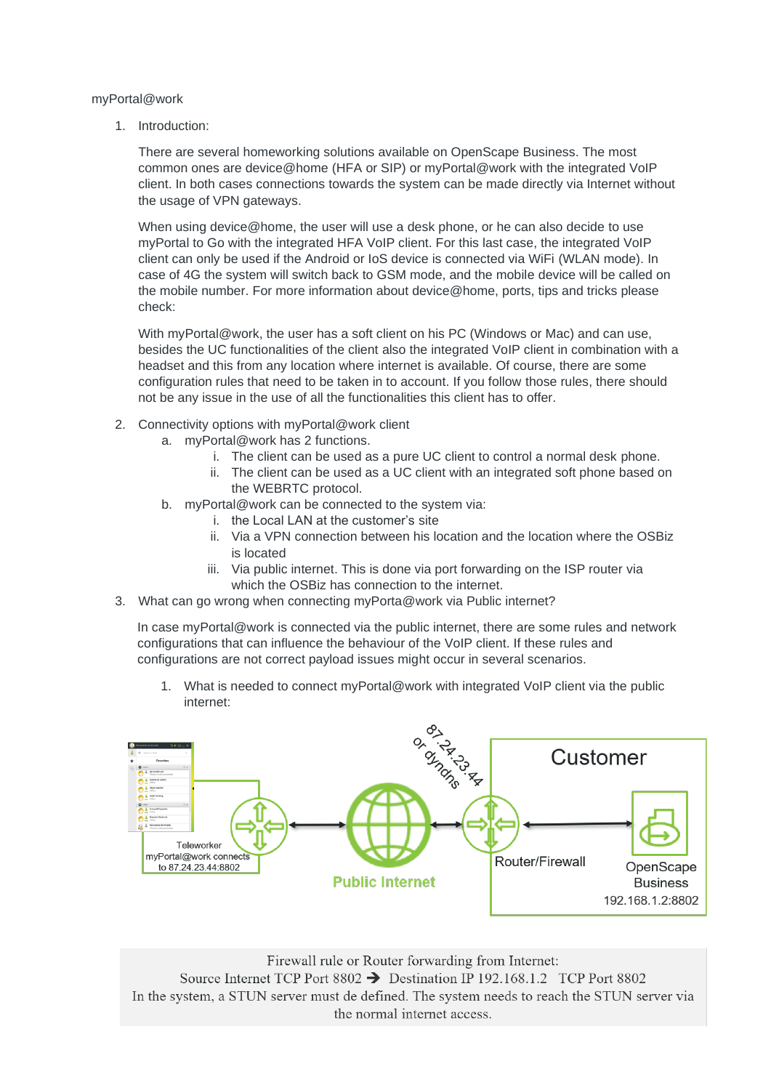## myPortal@work

1. Introduction:

There are several homeworking solutions available on OpenScape Business. The most common ones are device@home (HFA or SIP) or myPortal@work with the integrated VoIP client. In both cases connections towards the system can be made directly via Internet without the usage of VPN gateways.

When using device@home, the user will use a desk phone, or he can also decide to use myPortal to Go with the integrated HFA VoIP client. For this last case, the integrated VoIP client can only be used if the Android or IoS device is connected via WiFi (WLAN mode). In case of 4G the system will switch back to GSM mode, and the mobile device will be called on the mobile number. For more information about device@home, ports, tips and tricks please check:

With myPortal@work, the user has a soft client on his PC (Windows or Mac) and can use, besides the UC functionalities of the client also the integrated VoIP client in combination with a headset and this from any location where internet is available. Of course, there are some configuration rules that need to be taken in to account. If you follow those rules, there should not be any issue in the use of all the functionalities this client has to offer.

- 2. Connectivity options with myPortal@work client
	- a. myPortal@work has 2 functions.
		- i. The client can be used as a pure UC client to control a normal desk phone.
		- ii. The client can be used as a UC client with an integrated soft phone based on the WEBRTC protocol.
	- b. myPortal@work can be connected to the system via:
		- i the Local LAN at the customer's site
		- ii. Via a VPN connection between his location and the location where the OSBiz is located
		- iii. Via public internet. This is done via port forwarding on the ISP router via which the OSBiz has connection to the internet.
- 3. What can go wrong when connecting myPorta@work via Public internet?

In case myPortal@work is connected via the public internet, there are some rules and network configurations that can influence the behaviour of the VoIP client. If these rules and configurations are not correct payload issues might occur in several scenarios.

1. What is needed to connect myPortal@work with integrated VoIP client via the public internet:



Firewall rule or Router forwarding from Internet: Source Internet TCP Port 8802 → Destination IP 192.168.1.2 TCP Port 8802 In the system, a STUN server must de defined. The system needs to reach the STUN server via the normal internet access.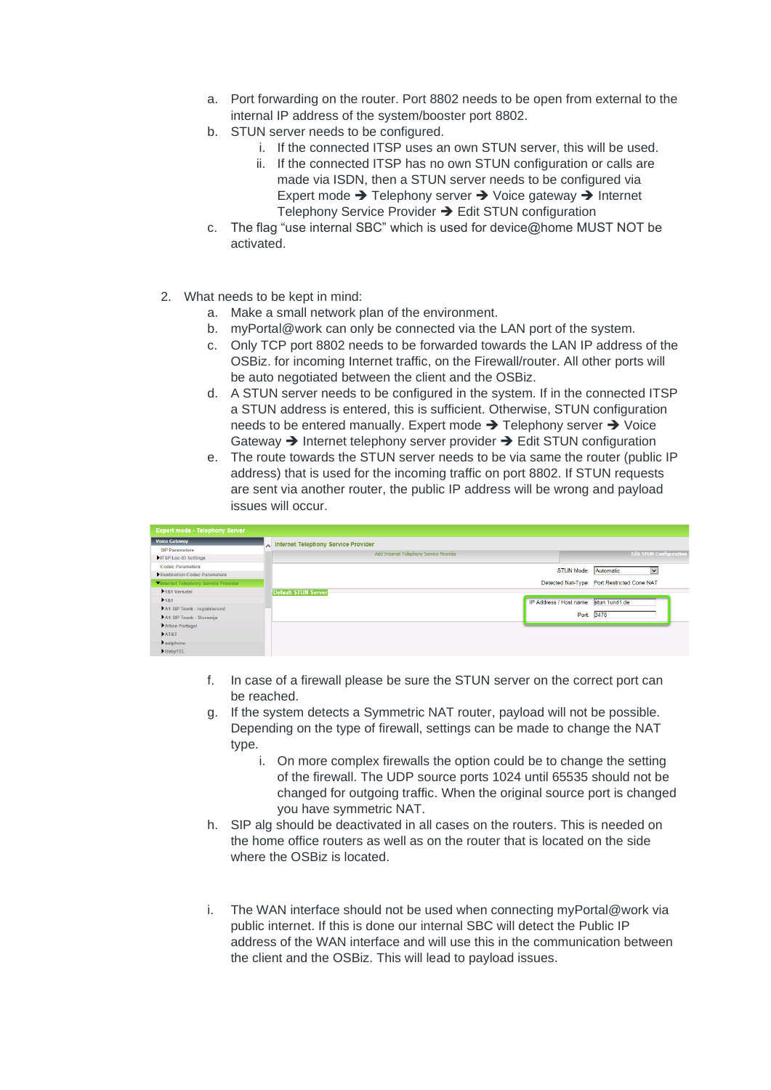- a. Port forwarding on the router. Port 8802 needs to be open from external to the internal IP address of the system/booster port 8802.
- b. STUN server needs to be configured.
	- i. If the connected ITSP uses an own STUN server, this will be used.
	- ii. If the connected ITSP has no own STUN configuration or calls are made via ISDN, then a STUN server needs to be configured via Expert mode ➔ Telephony server ➔ Voice gateway ➔ Internet Telephony Service Provider → Edit STUN configuration
- c. The flag "use internal SBC" which is used for device@home MUST NOT be activated.
- 2. What needs to be kept in mind:
	- a. Make a small network plan of the environment.
	- b. myPortal@work can only be connected via the LAN port of the system.
	- c. Only TCP port 8802 needs to be forwarded towards the LAN IP address of the OSBiz. for incoming Internet traffic, on the Firewall/router. All other ports will be auto negotiated between the client and the OSBiz.
	- d. A STUN server needs to be configured in the system. If in the connected ITSP a STUN address is entered, this is sufficient. Otherwise, STUN configuration needs to be entered manually. Expert mode ➔ Telephony server ➔ Voice Gateway ➔ Internet telephony server provider ➔ Edit STUN configuration
	- e. The route towards the STUN server needs to be via same the router (public IP address) that is used for the incoming traffic on port 8802. If STUN requests are sent via another router, the public IP address will be wrong and payload issues will occur.

| <b>Expert mode - Telephony Server</b> |  |                                         |                                       |                                             |
|---------------------------------------|--|-----------------------------------------|---------------------------------------|---------------------------------------------|
| <b>Voice Gateway</b>                  |  | niternet Telephony Service Provider     |                                       |                                             |
| <b>SIP Parameters</b>                 |  | Add Internet Telephony Service Provider |                                       | <b>Edit STUN Configuration</b>              |
| ITSP Loc-ID Settings                  |  |                                         |                                       |                                             |
| <b>Codec Parameters</b>               |  |                                         | STUN Mode: Automatic                  | $\checkmark$                                |
| Destination Codec Parameters          |  |                                         |                                       |                                             |
| Vinternet Telephony Service Provider  |  |                                         |                                       | Detected Nat-Type: Port Restricted Cone NAT |
| 181 Versatel                          |  | <b>Default STUN Server</b>              |                                       |                                             |
| 181                                   |  |                                         | IP Address / Host name: stun.1und1.de |                                             |
| A1 SIP Trunk - registrierend          |  |                                         |                                       |                                             |
| A1 SIP Trunk - Slovenija              |  |                                         |                                       | Port: 3478                                  |
| Altice Portugal                       |  |                                         |                                       |                                             |
| <b>DAT&amp;T</b>                      |  |                                         |                                       |                                             |
| Pautphone                             |  |                                         |                                       |                                             |
| BabyTEL                               |  |                                         |                                       |                                             |

- f. In case of a firewall please be sure the STUN server on the correct port can be reached.
- g. If the system detects a Symmetric NAT router, payload will not be possible. Depending on the type of firewall, settings can be made to change the NAT type.
	- i. On more complex firewalls the option could be to change the setting of the firewall. The UDP source ports 1024 until 65535 should not be changed for outgoing traffic. When the original source port is changed you have symmetric NAT.
- h. SIP alg should be deactivated in all cases on the routers. This is needed on the home office routers as well as on the router that is located on the side where the OSBiz is located.
- i. The WAN interface should not be used when connecting myPortal@work via public internet. If this is done our internal SBC will detect the Public IP address of the WAN interface and will use this in the communication between the client and the OSBiz. This will lead to payload issues.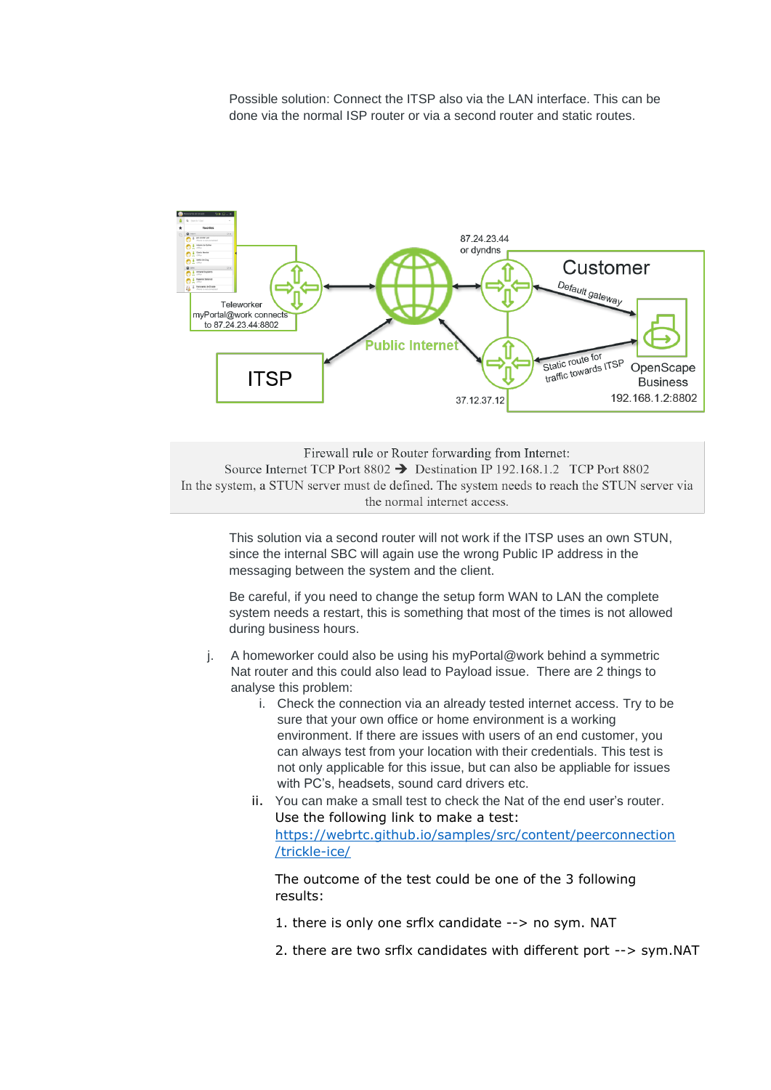Possible solution: Connect the ITSP also via the LAN interface. This can be done via the normal ISP router or via a second router and static routes.



Firewall rule or Router forwarding from Internet: Source Internet TCP Port 8802  $\rightarrow$  Destination IP 192.168.1.2 TCP Port 8802 In the system, a STUN server must de defined. The system needs to reach the STUN server via the normal internet access.

This solution via a second router will not work if the ITSP uses an own STUN, since the internal SBC will again use the wrong Public IP address in the messaging between the system and the client.

Be careful, if you need to change the setup form WAN to LAN the complete system needs a restart, this is something that most of the times is not allowed during business hours.

- j. A homeworker could also be using his myPortal@work behind a symmetric Nat router and this could also lead to Payload issue. There are 2 things to analyse this problem:
	- i. Check the connection via an already tested internet access. Try to be sure that your own office or home environment is a working environment. If there are issues with users of an end customer, you can always test from your location with their credentials. This test is not only applicable for this issue, but can also be appliable for issues with PC's, headsets, sound card drivers etc.
	- ii. You can make a small test to check the Nat of the end user's router. Use the following link to make a test: [https://webrtc.github.io/samples/src/content/peerconnection](https://webrtc.github.io/samples/src/content/peerconnection/trickle-ice/) [/trickle-ice/](https://webrtc.github.io/samples/src/content/peerconnection/trickle-ice/)

The outcome of the test could be one of the 3 following results:

- 1. there is only one srflx candidate --> no sym. NAT
- 2. there are two srflx candidates with different port --> sym.NAT